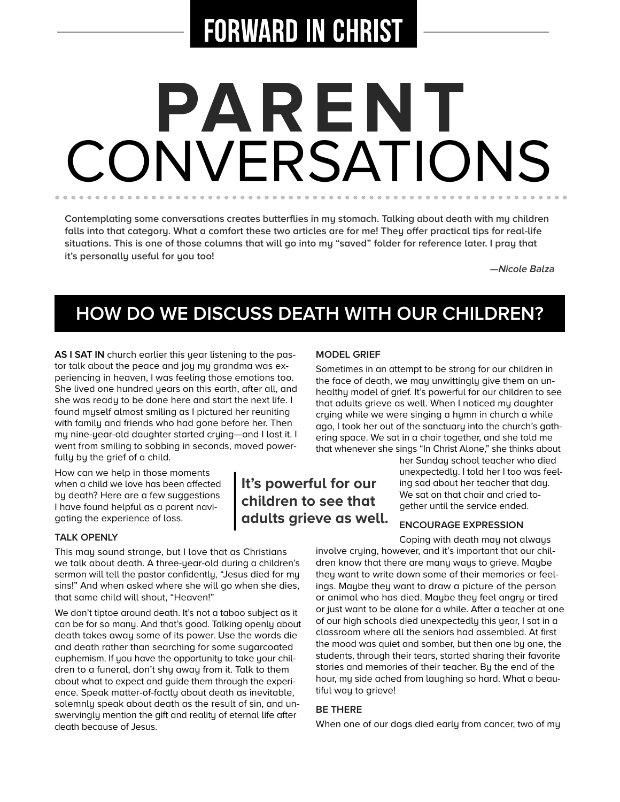## **FORWARD IN CHRIST**

# **CONVERSATIONS PARENT**

**Contemplating some conversations creates butterflies in my stomach. Talking about death with my children falls into that category. What a comfort these two articles are for me! They offer practical tips for real-life situations. This is one of those columns that will go into my "saved" folder for reference later. I pray that it's personally useful for you too!**

**—Nicole Balza**

### **HOW DO WE DISCUSS DEATH WITH OUR CHILDREN?**

**It's powerful for our children to see that adults grieve as well.**

**AS I SAT IN** church earlier this year listening to the pastor talk about the peace and joy my grandma was experiencing in heaven, I was feeling those emotions too. She lived one hundred years on this earth, after all, and she was ready to be done here and start the next life. I found myself almost smiling as I pictured her reuniting with family and friends who had gone before her. Then my nine-year-old daughter started crying—and I lost it. I went from smiling to sobbing in seconds, moved powerfully by the grief of a child.

How can we help in those moments when a child we love has been affected by death? Here are a few suggestions I have found helpful as a parent navigating the experience of loss.

#### **TALK OPENLY**

This may sound strange, but I love that as Christians we talk about death. A three-year-old during a children's sermon will tell the pastor confidently, "Jesus died for my sins!" And when asked where she will go when she dies, that same child will shout, "Heaven!"

We don't tiptoe around death. It's not a taboo subject as it can be for so many. And that's good. Talking openly about death takes away some of its power. Use the words die and death rather than searching for some sugarcoated euphemism. If you have the opportunity to take your children to a funeral, don't shy away from it. Talk to them about what to expect and guide them through the experience. Speak matter-of-factly about death as inevitable, solemnly speak about death as the result of sin, and unswervingly mention the gift and reality of eternal life after death because of Jesus.

#### **MODEL GRIEF**

Sometimes in an attempt to be strong for our children in the face of death, we may unwittingly give them an unhealthy model of grief. It's powerful for our children to see that adults grieve as well. When I noticed my daughter crying while we were singing a hymn in church a while ago, I took her out of the sanctuary into the church's gathering space. We sat in a chair together, and she told me that whenever she sings "In Christ Alone," she thinks about

> her Sunday school teacher who died unexpectedly. I told her I too was feeling sad about her teacher that day. We sat on that chair and cried together until the service ended.

#### **ENCOURAGE EXPRESSION**

Coping with death may not always

involve crying, however, and it's important that our children know that there are many ways to grieve. Maybe they want to write down some of their memories or feelings. Maybe they want to draw a picture of the person or animal who has died. Maybe they feel angry or tired or just want to be alone for a while. After a teacher at one of our high schools died unexpectedly this year, I sat in a classroom where all the seniors had assembled. At first the mood was quiet and somber, but then one by one, the students, through their tears, started sharing their favorite stories and memories of their teacher. By the end of the hour, my side ached from laughing so hard. What a beautiful way to grieve!

#### **BE THERE**

When one of our dogs died early from cancer, two of my